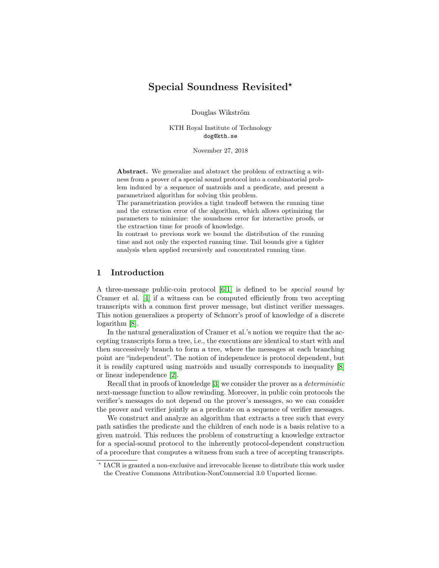# Special Soundness Revisited<sup>\*</sup>

Douglas Wikström

KTH Royal Institute of Technology dog@kth.se

November 27, 2018

Abstract. We generalize and abstract the problem of extracting a witness from a prover of a special sound protocol into a combinatorial problem induced by a sequence of matroids and a predicate, and present a parametrized algorithm for solving this problem.

The parametrization provides a tight tradeoff between the running time and the extraction error of the algorithm, which allows optimizing the parameters to minimize: the soundness error for interactive proofs, or the extraction time for proofs of knowledge.

In contrast to previous work we bound the distribution of the running time and not only the expected running time. Tail bounds give a tighter analysis when applied recursively and concentrated running time.

### 1 Introduction

A three-message public-coin protocol [\[6,](#page-16-0)[1\]](#page-15-0) is defined to be special sound by Cramer et al. [\[4\]](#page-16-1) if a witness can be computed efficiently from two accepting transcripts with a common first prover message, but distinct verifier messages. This notion generalizes a property of Schnorr's proof of knowledge of a discrete logarithm [\[8\]](#page-16-2).

In the natural generalization of Cramer et al.'s notion we require that the accepting transcripts form a tree, i.e., the executions are identical to start with and then successively branch to form a tree, where the messages at each branching point are "independent". The notion of independence is protocol dependent, but it is readily captured using matroids and usually corresponds to inequality [\[8\]](#page-16-2) or linear independence [\[2\]](#page-16-3).

Recall that in proofs of knowledge [\[3\]](#page-16-4) we consider the prover as a deterministic next-message function to allow rewinding. Moreover, in public coin protocols the verifier's messages do not depend on the prover's messages, so we can consider the prover and verifier jointly as a predicate on a sequence of verifier messages.

We construct and analyze an algorithm that extracts a tree such that every path satisfies the predicate and the children of each node is a basis relative to a given matroid. This reduces the problem of constructing a knowledge extractor for a special-sound protocol to the inherently protocol-dependent construction of a procedure that computes a witness from such a tree of accepting transcripts.

<sup>?</sup> IACR is granted a non-exclusive and irrevocable license to distribute this work under the Creative Commons Attribution-NonCommercial 3.0 Unported license.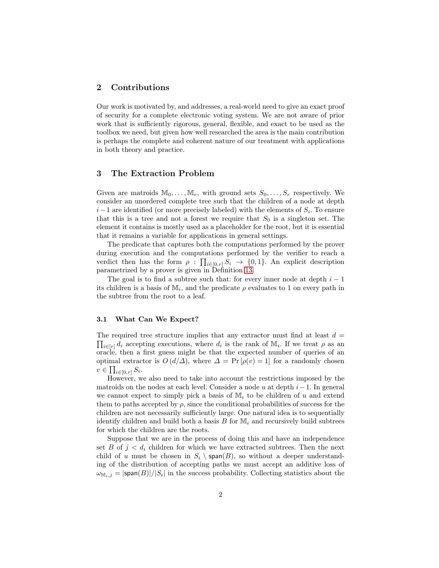## 2 Contributions

Our work is motivated by, and addresses, a real-world need to give an exact proof of security for a complete electronic voting system. We are not aware of prior work that is sufficiently rigorous, general, flexible, and exact to be used as the toolbox we need, but given how well researched the area is the main contribution is perhaps the complete and coherent nature of our treatment with applications in both theory and practice.

## 3 The Extraction Problem

Given are matroids  $M_0, \ldots, M_r$ , with ground sets  $S_0, \ldots, S_r$  respectively. We consider an unordered complete tree such that the children of a node at depth  $i-1$  are identified (or more precisely labeled) with the elements of  $S_i$ . To ensure that this is a tree and not a forest we require that  $S_0$  is a singleton set. The element it contains is mostly used as a placeholder for the root, but it is essential that it remains a variable for applications in general settings.

The predicate that captures both the computations performed by the prover during execution and the computations performed by the verifier to reach a verdict then has the form  $\rho : \prod_{i \in [0,r]} S_i \to \{0,1\}$ . An explicit description parametrized by a prover is given in Definition [13.](#page-14-0)

The goal is to find a subtree such that: for every inner node at depth  $i - 1$ its children is a basis of  $\mathbb{M}_i$ , and the predicate  $\rho$  evaluates to 1 on every path in the subtree from the root to a leaf.

### 3.1 What Can We Expect?

The required tree structure implies that any extractor must find at least  $d =$  $\prod_{i\in[r]}d_i$  accepting executions, where  $d_i$  is the rank of  $M_i$ . If we treat  $\rho$  as an oracle, then a first guess might be that the expected number of queries of an optimal extractor is  $O(d/\Delta)$ , where  $\Delta = \Pr[\rho(v) = 1]$  for a randomly chosen  $v \in \prod_{i \in [0,r]} S_i.$ 

However, we also need to take into account the restrictions imposed by the matroids on the nodes at each level. Consider a node u at depth  $i-1$ . In general we cannot expect to simply pick a basis of  $\mathbb{M}_i$  to be children of u and extend them to paths accepted by  $\rho$ , since the conditional probabilities of success for the children are not necessarily sufficiently large. One natural idea is to sequentially identify children and build both a basis  $B$  for  $\mathbb{M}_i$  and recursively build subtrees for which the children are the roots.

Suppose that we are in the process of doing this and have an independence set B of  $j < d_i$  children for which we have extracted subtrees. Then the next child of u must be chosen in  $S_i \setminus \text{span}(B)$ , so without a deeper understanding of the distribution of accepting paths we must accept an additive loss of  $\omega_{\mathbb{M}_{i,j}} = |\textsf{span}(B)|/|S_i|$  in the success probability. Collecting statistics about the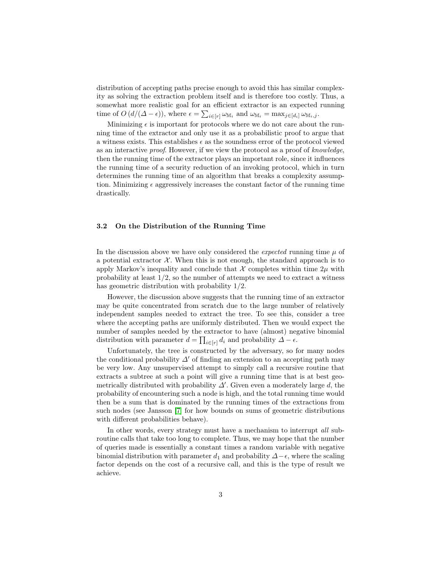distribution of accepting paths precise enough to avoid this has similar complexity as solving the extraction problem itself and is therefore too costly. Thus, a somewhat more realistic goal for an efficient extractor is an expected running time of  $O(d/(\Delta - \epsilon))$ , where  $\epsilon = \sum_{i \in [r]} \omega_{\mathbb{M}_i}$  and  $\omega_{\mathbb{M}_i} = \max_{j \in [d_i]} \omega_{\mathbb{M}_i, j}$ .

Minimizing  $\epsilon$  is important for protocols where we do not care about the running time of the extractor and only use it as a probabilistic proof to argue that a witness exists. This establishes  $\epsilon$  as the soundness error of the protocol viewed as an interactive proof. However, if we view the protocol as a proof of knowledge, then the running time of the extractor plays an important role, since it influences the running time of a security reduction of an invoking protocol, which in turn determines the running time of an algorithm that breaks a complexity assumption. Minimizing  $\epsilon$  aggressively increases the constant factor of the running time drastically.

#### 3.2 On the Distribution of the Running Time

In the discussion above we have only considered the *expected* running time  $\mu$  of a potential extractor  $\mathcal{X}$ . When this is not enough, the standard approach is to apply Markov's inequality and conclude that  $\mathcal X$  completes within time  $2\mu$  with probability at least  $1/2$ , so the number of attempts we need to extract a witness has geometric distribution with probability 1/2.

However, the discussion above suggests that the running time of an extractor may be quite concentrated from scratch due to the large number of relatively independent samples needed to extract the tree. To see this, consider a tree where the accepting paths are uniformly distributed. Then we would expect the number of samples needed by the extractor to have (almost) negative binomial distribution with parameter  $d = \prod_{i \in [r]} d_i$  and probability  $\Delta - \epsilon$ .

Unfortunately, the tree is constructed by the adversary, so for many nodes the conditional probability  $\Delta'$  of finding an extension to an accepting path may be very low. Any unsupervised attempt to simply call a recursive routine that extracts a subtree at such a point will give a running time that is at best geometrically distributed with probability  $\Delta'$ . Given even a moderately large d, the probability of encountering such a node is high, and the total running time would then be a sum that is dominated by the running times of the extractions from such nodes (see Jansson [\[7\]](#page-16-5) for how bounds on sums of geometric distributions with different probabilities behave).

In other words, every strategy must have a mechanism to interrupt all subroutine calls that take too long to complete. Thus, we may hope that the number of queries made is essentially a constant times a random variable with negative binomial distribution with parameter  $d_1$  and probability  $\Delta-\epsilon$ , where the scaling factor depends on the cost of a recursive call, and this is the type of result we achieve.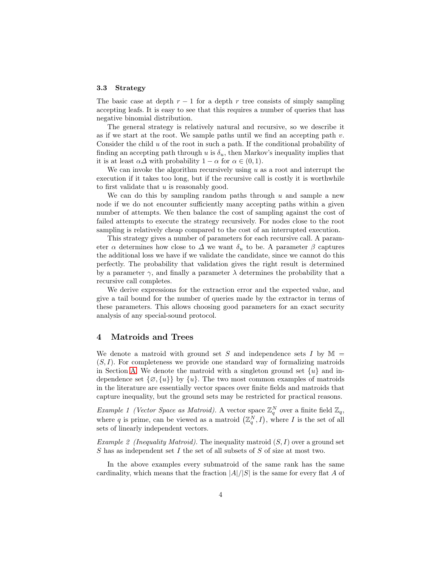#### 3.3 Strategy

The basic case at depth  $r - 1$  for a depth r tree consists of simply sampling accepting leafs. It is easy to see that this requires a number of queries that has negative binomial distribution.

The general strategy is relatively natural and recursive, so we describe it as if we start at the root. We sample paths until we find an accepting path  $v$ . Consider the child  $u$  of the root in such a path. If the conditional probability of finding an accepting path through u is  $\delta_u$ , then Markov's inequality implies that it is at least  $\alpha\Delta$  with probability  $1 - \alpha$  for  $\alpha \in (0, 1)$ .

We can invoke the algorithm recursively using  $u$  as a root and interrupt the execution if it takes too long, but if the recursive call is costly it is worthwhile to first validate that u is reasonably good.

We can do this by sampling random paths through  $u$  and sample a new node if we do not encounter sufficiently many accepting paths within a given number of attempts. We then balance the cost of sampling against the cost of failed attempts to execute the strategy recursively. For nodes close to the root sampling is relatively cheap compared to the cost of an interrupted execution.

This strategy gives a number of parameters for each recursive call. A parameter  $\alpha$  determines how close to  $\Delta$  we want  $\delta_u$  to be. A parameter  $\beta$  captures the additional loss we have if we validate the candidate, since we cannot do this perfectly. The probability that validation gives the right result is determined by a parameter  $\gamma$ , and finally a parameter  $\lambda$  determines the probability that a recursive call completes.

We derive expressions for the extraction error and the expected value, and give a tail bound for the number of queries made by the extractor in terms of these parameters. This allows choosing good parameters for an exact security analysis of any special-sound protocol.

### 4 Matroids and Trees

We denote a matroid with ground set S and independence sets I by  $\mathbb{M}$  =  $(S, I)$ . For completeness we provide one standard way of formalizing matroids in Section [A.](#page-16-6) We denote the matroid with a singleton ground set  $\{u\}$  and independence set  $\{\emptyset, \{u\}\}\$  by  $\{u\}$ . The two most common examples of matroids in the literature are essentially vector spaces over finite fields and matroids that capture inequality, but the ground sets may be restricted for practical reasons.

<span id="page-3-0"></span>Example 1 (Vector Space as Matroid). A vector space  $\mathbb{Z}_q^N$  over a finite field  $\mathbb{Z}_q$ , where q is prime, can be viewed as a matroid  $(\mathbb{Z}_q^N, I)$ , where I is the set of all sets of linearly independent vectors.

<span id="page-3-1"></span>Example 2 (Inequality Matroid). The inequality matroid  $(S, I)$  over a ground set S has as independent set I the set of all subsets of S of size at most two.

In the above examples every submatroid of the same rank has the same cardinality, which means that the fraction  $|A|/|S|$  is the same for every flat A of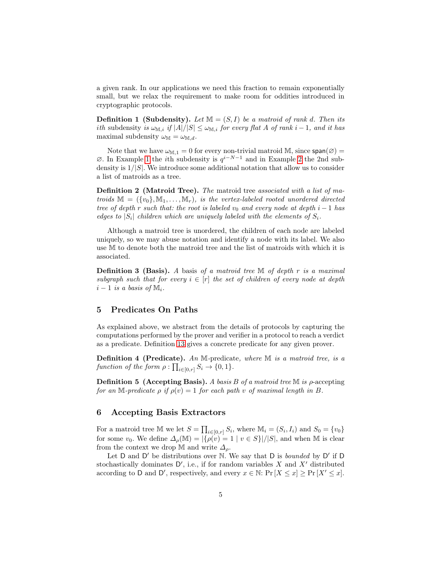a given rank. In our applications we need this fraction to remain exponentially small, but we relax the requirement to make room for oddities introduced in cryptographic protocols.

**Definition 1 (Subdensity).** Let  $\mathbb{M} = (S, I)$  be a matroid of rank d. Then its *ith* subdensity is  $\omega_{M,i}$  if  $|A|/|S| \leq \omega_{M,i}$  for every flat A of rank i – 1, and it has maximal subdensity  $\omega_M = \omega_{M,d}$ .

Note that we have  $\omega_{M,1} = 0$  for every non-trivial matroid M, since  $\text{span}(\emptyset) =$  $\emptyset$ . In Example [1](#page-3-0) the *i*th subdensity is  $q^{i-N-1}$  and in Example [2](#page-3-1) the 2nd subdensity is  $1/|S|$ . We introduce some additional notation that allow us to consider a list of matroids as a tree.

Definition 2 (Matroid Tree). The matroid tree associated with a list of matroids  $\mathbb{M} = (\{v_0\}, \mathbb{M}_1, \dots, \mathbb{M}_r)$ , is the vertex-labeled rooted unordered directed tree of depth r such that: the root is labeled  $v_0$  and every node at depth i – 1 has edges to  $|S_i|$  children which are uniquely labeled with the elements of  $S_i$ .

Although a matroid tree is unordered, the children of each node are labeled uniquely, so we may abuse notation and identify a node with its label. We also use M to denote both the matroid tree and the list of matroids with which it is associated.

**Definition 3 (Basis).** A basis of a matroid tree  $M$  of depth r is a maximal subgraph such that for every  $i \in [r]$  the set of children of every node at depth  $i-1$  is a basis of  $\mathbb{M}_i$ .

### 5 Predicates On Paths

As explained above, we abstract from the details of protocols by capturing the computations performed by the prover and verifier in a protocol to reach a verdict as a predicate. Definition [13](#page-14-0) gives a concrete predicate for any given prover.

Definition 4 (Predicate). An M-predicate, where M is a matroid tree, is a function of the form  $\rho : \prod_{i \in [0,r]} S_i \to \{0,1\}.$ 

**Definition 5 (Accepting Basis).** A basis B of a matroid tree  $\mathbb{M}$  is  $\rho$ -accepting for an M-predicate  $\rho$  if  $\rho(v) = 1$  for each path v of maximal length in B.

### 6 Accepting Basis Extractors

For a matroid tree M we let  $S = \prod_{i \in [0,r]} S_i$ , where  $M_i = (S_i, I_i)$  and  $S_0 = \{v_0\}$ for some  $v_0$ . We define  $\Delta_\rho(\mathbb{M}) = |\{\rho(v) = 1 \mid v \in S\}|/|S|$ , and when M is clear from the context we drop M and write  $\Delta_{\rho}$ .

Let D and D' be distributions over N. We say that D is *bounded* by D' if D stochastically dominates  $D'$ , i.e., if for random variables X and  $X'$  distributed according to D and D', respectively, and every  $x \in \mathbb{N}$ : Pr  $[X \leq x] \geq \Pr[X' \leq x]$ .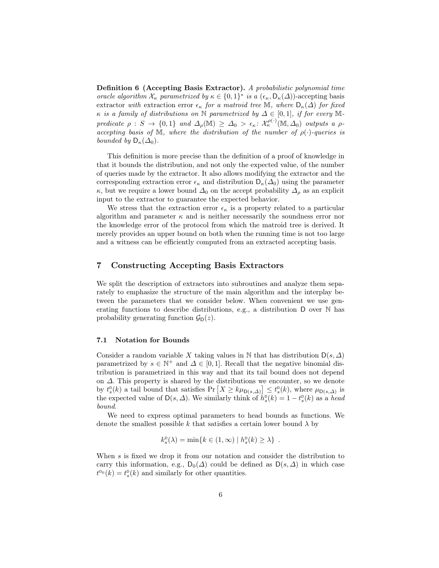Definition 6 (Accepting Basis Extractor). A probabilistic polynomial time oracle algorithm  $\mathcal{X}_{\kappa}$  parametrized by  $\kappa \in \{0,1\}^*$  is a  $(\epsilon_{\kappa}, \mathsf{D}_{\kappa}(\Delta))$ -accepting basis extractor with extraction error  $\epsilon_{\kappa}$  for a matroid tree M, where  $D_{\kappa}(\Delta)$  for fixed  $\kappa$  is a family of distributions on N parametrized by  $\Delta \in [0,1]$ , if for every Mpredicate  $\rho: S \to \{0,1\}$  and  $\Delta_{\rho}(\mathbb{M}) \geq \Delta_0 > \epsilon_{\kappa}: \mathcal{X}_{\kappa}^{\rho(\cdot)}(\mathbb{M}, \Delta_0)$  outputs a  $\rho$ accepting basis of M, where the distribution of the number of  $\rho(\cdot)$ -queries is bounded by  $D_{\kappa}(\Delta_0)$ .

This definition is more precise than the definition of a proof of knowledge in that it bounds the distribution, and not only the expected value, of the number of queries made by the extractor. It also allows modifying the extractor and the corresponding extraction error  $\epsilon_{\kappa}$  and distribution  $D_{\kappa}(\Delta_0)$  using the parameter  $\kappa$ , but we require a lower bound  $\Delta_0$  on the accept probability  $\Delta_\rho$  as an explicit input to the extractor to guarantee the expected behavior.

We stress that the extraction error  $\epsilon_{\kappa}$  is a property related to a particular algorithm and parameter  $\kappa$  and is neither necessarily the soundness error nor the knowledge error of the protocol from which the matroid tree is derived. It merely provides an upper bound on both when the running time is not too large and a witness can be efficiently computed from an extracted accepting basis.

## 7 Constructing Accepting Basis Extractors

We split the description of extractors into subroutines and analyze them separately to emphasize the structure of the main algorithm and the interplay between the parameters that we consider below. When convenient we use generating functions to describe distributions, e.g., a distribution D over N has probability generating function  $\mathcal{G}_D(z)$ .

#### 7.1 Notation for Bounds

Consider a random variable X taking values in N that has distribution  $D(s, \Delta)$ parametrized by  $s \in \mathbb{N}^+$  and  $\Delta \in [0,1]$ . Recall that the negative binomial distribution is parametrized in this way and that its tail bound does not depend on ∆. This property is shared by the distributions we encounter, so we denote by  $t_s^{\text{D}}(k)$  a tail bound that satisfies  $\Pr\left[X \geq k\mu_{\text{D}(s,\Delta)}\right] \leq t_s^{\text{D}}(k)$ , where  $\mu_{\text{D}(s,\Delta)}$  is the expected value of  $D(s, \Delta)$ . We similarly think of  $h_s^{\text{D}}(k) = 1 - t_s^{\text{D}}(k)$  as a head bound.

We need to express optimal parameters to head bounds as functions. We denote the smallest possible k that satisfies a certain lower bound  $\lambda$  by

$$
k_s^{\mathrm{D}}(\lambda) = \min\{k \in (1,\infty) \mid h_s^{\mathrm{D}}(k) \geq \lambda\} .
$$

When s is fixed we drop it from our notation and consider the distribution to carry this information, e.g.,  $D_0(\Delta)$  could be defined as  $D(s, \Delta)$  in which case  $t^{D_0}(k) = t_s^D(k)$  and similarly for other quantities.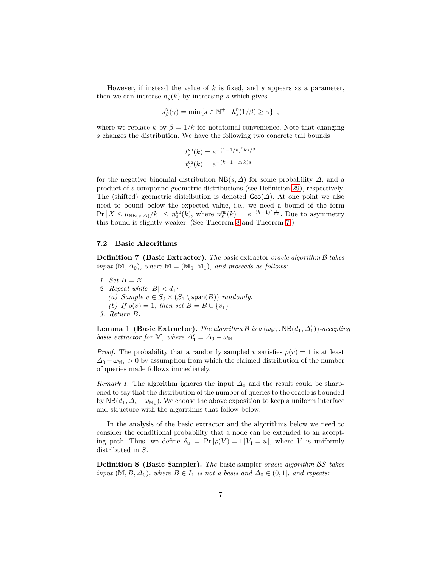However, if instead the value of  $k$  is fixed, and  $s$  appears as a parameter, then we can increase  $h_s^{\text{D}}(k)$  by increasing s which gives

$$
s^{\mathsf{D}}_{\beta}(\gamma) = \min \{ s \in \mathbb{N}^+ \mid h^{\mathsf{D}}_{s}(1/\beta) \geq \gamma \},
$$

where we replace k by  $\beta = 1/k$  for notational convenience. Note that changing s changes the distribution. We have the following two concrete tail bounds

$$
t_s^{\text{NB}}(k) = e^{-(1-1/k)^2 ks/2}
$$
  

$$
t_s^{\text{CG}}(k) = e^{-(k-1-\ln k)s}
$$

for the negative binomial distribution  $NB(s, \Delta)$  for some probability  $\Delta$ , and a product of s compound geometric distributions (see Definition [29\)](#page-19-0), respectively. The (shifted) geometric distribution is denoted  $\mathsf{Geo}(\Delta)$ . At one point we also need to bound below the expected value, i.e., we need a bound of the form  $\Pr\left[X \leq \mu_{NB(s,\Delta)}/k\right] \leq n_s^{NB}(k)$ , where  $n_s^{NB}(k) = e^{-(k-1)^2 \frac{s}{3k}}$ . Due to asymmetry this bound is slightly weaker. (See Theorem [8](#page-23-0) and Theorem [7.](#page-22-0))

### 7.2 Basic Algorithms

Definition 7 (Basic Extractor). The basic extractor oracle algorithm B takes input  $(\mathbb{M}, \Delta_0)$ , where  $\mathbb{M} = (\mathbb{M}_0, \mathbb{M}_1)$ , and proceeds as follows:

- 1. Set  $B = \emptyset$ . 2. Repeat while  $|B| < d_1$ : (a) Sample  $v \in S_0 \times (S_1 \setminus \text{span}(B))$  randomly. (b) If  $\rho(v) = 1$ , then set  $B = B \cup \{v_1\}.$
- 3. Return B.

**Lemma 1** (Basic Extractor). The algorithm B is a  $(\omega_{\mathbb{M}_1}, \mathsf{NB}(d_1, \Delta'_1))$ -accepting basis extractor for M, where  $\Delta'_1 = \Delta_0 - \omega_{M_1}$ .

*Proof.* The probability that a randomly sampled v satisfies  $\rho(v) = 1$  is at least  $\Delta_0 - \omega_{\mathbb{M}_1} > 0$  by assumption from which the claimed distribution of the number of queries made follows immediately.

*Remark 1.* The algorithm ignores the input  $\Delta_0$  and the result could be sharpened to say that the distribution of the number of queries to the oracle is bounded by  $NB(d_1, \Delta_{\rho} - \omega_{\mathbb{M}_1})$ . We choose the above exposition to keep a uniform interface and structure with the algorithms that follow below.

In the analysis of the basic extractor and the algorithms below we need to consider the conditional probability that a node can be extended to an accepting path. Thus, we define  $\delta_u = Pr[\rho(V) = 1 | V_1 = u]$ , where V is uniformly distributed in S.

Definition 8 (Basic Sampler). The basic sampler oracle algorithm BS takes input  $(M, B, \Delta_0)$ , where  $B \in I_1$  is not a basis and  $\Delta_0 \in (0, 1]$ , and repeats: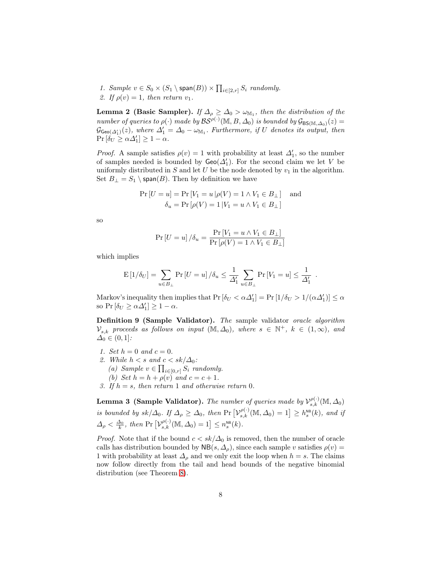1. Sample  $v \in S_0 \times (S_1 \setminus \text{span}(B)) \times \prod_{i \in [2,r]} S_i$  randomly. 2. If  $\rho(v) = 1$ , then return  $v_1$ .

<span id="page-7-0"></span>**Lemma 2 (Basic Sampler).** If  $\Delta_{\rho} \geq \Delta_0 > \omega_{\mathbb{M}_1}$ , then the distribution of the number of queries to  $\rho(\cdot)$  made by  $\mathcal{BS}^{\rho(\cdot)}(\mathbb{M}, B, \Delta_0)$  is bounded by  $\mathcal{G}_{BS(\mathbb{M}, \Delta_0)}(z)$  $\mathcal{G}_{\mathsf{Geo}(\Delta_1')}(z)$ , where  $\Delta_1' = \Delta_0 - \omega_{\mathbb{M}_1}$ . Furthermore, if U denotes its output, then  $\Pr\left[\hat{\delta_U} \geq \alpha \Delta'_1\right] \geq 1 - \alpha.$ 

*Proof.* A sample satisfies  $\rho(v) = 1$  with probability at least  $\Delta'_1$ , so the number of samples needed is bounded by  $\mathsf{Geo}(\Delta_1')$ . For the second claim we let V be uniformly distributed in S and let U be the node denoted by  $v_1$  in the algorithm. Set  $B_{\perp} = S_1 \setminus \text{span}(B)$ . Then by definition we have

$$
\Pr[U = u] = \Pr[V_1 = u | \rho(V) = 1 \land V_1 \in B_\perp] \text{ and}
$$

$$
\delta_u = \Pr[\rho(V) = 1 | V_1 = u \land V_1 \in B_\perp]
$$

so

$$
\Pr\left[U = u\right] / \delta_u = \frac{\Pr\left[V_1 = u \land V_1 \in B_\perp\right]}{\Pr\left[\rho(V) = 1 \land V_1 \in B_\perp\right]}
$$

which implies

$$
\mathrm{E}\left[1/\delta_{U}\right] = \sum_{u \in B_{\perp}} \mathrm{Pr}\left[U = u\right] / \delta_{u} \leq \frac{1}{\Delta_{1}'} \sum_{u \in B_{\perp}} \mathrm{Pr}\left[V_{1} = u\right] \leq \frac{1}{\Delta_{1}'}.
$$

Markov's inequality then implies that  $Pr[\delta_U < \alpha \Delta_1'] = Pr[I/\delta_U > 1/(\alpha \Delta_1')] \le \alpha$ so Pr  $[\delta_U \ge \alpha \Delta'_1] \ge 1 - \alpha$ .

Definition 9 (Sample Validator). The sample validator oracle algorithm  $\mathcal{V}_{s,k}$  proceeds as follows on input  $(M, \Delta_0)$ , where  $s \in \mathbb{N}^+$ ,  $k \in (1, \infty)$ , and  $\Delta_0 \in (0,1]$ :

- 1. Set  $h = 0$  and  $c = 0$ .
- 2. While  $h < s$  and  $c < sk/\Delta_0$ :
	- (a) Sample  $v \in \prod_{i \in [0,r]} S_i$  randomly.
	- (b) Set  $h = h + \rho(v)$  and  $c = c + 1$ .
- 3. If  $h = s$ , then return 1 and otherwise return 0.

<span id="page-7-1"></span>**Lemma 3 (Sample Validator).** The number of queries made by  $\mathcal{V}_{s,k}^{\rho(\cdot)}(\mathbb{M}, \Delta_0)$ is bounded by  $sk/\Delta_0$ . If  $\Delta_\rho \geq \Delta_0$ , then  $\Pr[\mathcal{V}_{s,k}^{\rho(\cdot)}(\mathbb{M}, \Delta_0) = 1] \geq h_s^{\text{NB}}(k)$ , and if  $\Delta_{\rho} < \frac{\Delta_0}{k}$ , then Pr  $[\mathcal{V}_{s,k}^{\rho(\cdot)}(\mathbb{M}, \Delta_0) = 1] \leq n_s^{\text{NB}}(k)$ .

*Proof.* Note that if the bound  $c < sk/\Delta_0$  is removed, then the number of oracle calls has distribution bounded by  $NB(s, \Delta_\rho)$ , since each sample v satisfies  $\rho(v)$  = 1 with probability at least  $\Delta_{\rho}$  and we only exit the loop when  $h = s$ . The claims now follow directly from the tail and head bounds of the negative binomial distribution (see Theorem [8\)](#page-23-0).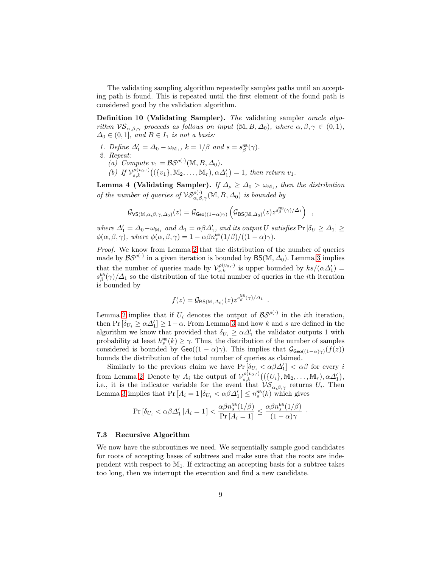The validating sampling algorithm repeatedly samples paths until an accepting path is found. This is repeated until the first element of the found path is considered good by the validation algorithm.

Definition 10 (Validating Sampler). The validating sampler oracle algorithm  $VS_{\alpha,\beta,\gamma}$  proceeds as follows on input  $(M, B, \Delta_0)$ , where  $\alpha, \beta, \gamma \in (0,1)$ ,  $\Delta_0 \in (0,1]$ , and  $B \in I_1$  is not a basis:

1. Define  $\Delta'_1 = \Delta_0 - \omega_{\mathbb{M}_1}$ ,  $k = 1/\beta$  and  $s = s^{\text{NB}}_{\beta}(\gamma)$ .

2. Repeat:

- (a) Compute  $v_1 = \mathcal{BS}^{\rho(\cdot)}(\mathbb{M}, B, \Delta_0)$ .
- (b) If  $\mathcal{V}_{s,k}^{\rho(v_0,\cdot)}((\{v_1\}, \mathbb{M}_2, \ldots, \mathbb{M}_r), \alpha \Delta'_1) = 1$ , then return  $v_1$ .

<span id="page-8-0"></span>Lemma 4 (Validating Sampler). If  $\Delta_{\rho} \geq \Delta_0 > \omega_{\mathbb{M}_1}$ , then the distribution of the number of queries of  $\mathcal{VS}_{\alpha,\beta,\gamma}^{\rho(\cdot)}(\mathbb{M},B,\Delta_0)$  is bounded by

$$
\mathcal{G}_{\mathsf{VS}(\mathbb{M},\alpha,\beta,\gamma,\Delta_0)}(z) = \mathcal{G}_{\mathsf{Geo}((1-\alpha)\gamma)} \left( \mathcal{G}_{\mathsf{BS}(\mathbb{M},\Delta_0)}(z) z^{s_{\beta}^{\mathsf{NB}}(\gamma)/\Delta_1} \right)
$$

,

·

where  $\Delta_1' = \Delta_0 - \omega_{\mathbb{M}_1}$  and  $\Delta_1 = \alpha \beta \Delta_1'$ , and its output U satisfies  $Pr[\delta_U \geq \Delta_1] \geq$  $\phi(\alpha, \beta, \gamma)$ , where  $\phi(\alpha, \beta, \gamma) = 1 - \alpha \beta n_s^{\text{NB}}(1/\beta) / ((1 - \alpha)\gamma)$ .

Proof. We know from Lemma [2](#page-7-0) that the distribution of the number of queries made by  $BS^{\rho(\cdot)}$  in a given iteration is bounded by  $BS(M, \Delta_0)$ . Lemma [3](#page-7-1) implies that the number of queries made by  $\mathcal{V}_{s,k}^{\rho(v_0,\cdot)}$  is upper bounded by  $ks/(\alpha\Delta_1')=$  $s_{\beta}^{\text{NB}}(\gamma)/\Delta_1$  so the distribution of the total number of queries in the *i*th iteration is bounded by

$$
f(z) = \mathcal{G}_{\text{BS}(\mathbb{M},\Delta_0)}(z) z^{s^{\text{NB}}_\beta(\gamma)/\Delta_1}
$$

.

Lemma [2](#page-7-0) implies that if  $U_i$  denotes the output of  $\mathcal{BS}^{\rho(\cdot)}$  in the *i*th iteration, then Pr  $[\delta_{U_i} \ge \alpha \Delta_1'] \ge 1 - \alpha$ . From Lemma [3](#page-7-1) and how k and s are defined in the algorithm we know that provided that  $\delta_{U_i} \geq \alpha \Delta_1'$  the validator outputs 1 with probability at least  $h_s^{\text{NB}}(k) \geq \gamma$ . Thus, the distribution of the number of samples considered is bounded by  $\mathsf{Geo}((1-\alpha)\gamma)$ . This implies that  $\mathcal{G}_{\mathsf{Geo}((1-\alpha)\gamma)}(f(z))$ bounds the distribution of the total number of queries as claimed.

Similarly to the previous claim we have  $Pr[\delta_{U_i} < \alpha \beta \Delta_1'] < \alpha \beta$  for every i from Lemma [2.](#page-7-0) Denote by  $A_i$  the output of  $\mathcal{V}_{s,k}^{\rho(v_0,\cdot)}((\{U_i\}, \mathbb{M}_2, \ldots, \mathbb{M}_r), \alpha \Delta_1')$ , i.e., it is the indicator variable for the event that  $\mathcal{VS}_{\alpha,\beta,\gamma}$  returns  $U_i$ . Then Lemma [3](#page-7-1) implies that  $Pr[A_i = 1 | \delta_{U_i} < \alpha \beta \Delta_1'] \leq n_s^{\text{NB}}(k)$  which gives

$$
\Pr\left[\delta_{U_i} < \alpha \beta \Delta_1' \, | A_i = 1\right] < \frac{\alpha \beta n_s^{\text{NB}}(1/\beta)}{\Pr\left[A_i = 1\right]} \le \frac{\alpha \beta n_s^{\text{NB}}(1/\beta)}{(1 - \alpha)\gamma}
$$

#### 7.3 Recursive Algorithm

We now have the subroutines we need. We sequentially sample good candidates for roots of accepting bases of subtrees and make sure that the roots are independent with respect to  $M_1$ . If extracting an accepting basis for a subtree takes too long, then we interrupt the execution and find a new candidate.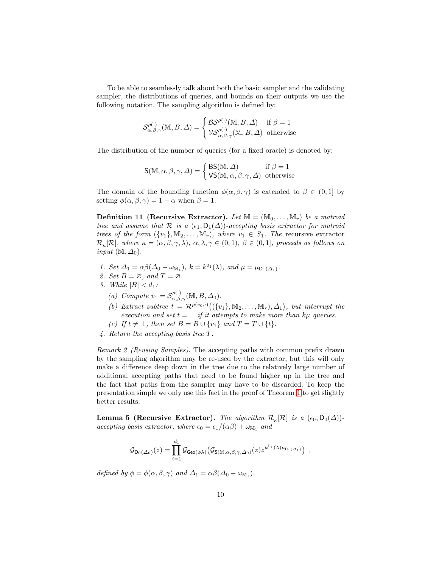To be able to seamlessly talk about both the basic sampler and the validating sampler, the distributions of queries, and bounds on their outputs we use the following notation. The sampling algorithm is defined by:

$$
\mathcal{S}^{\rho(\cdot)}_{\alpha,\beta,\gamma}(\mathbb{M},B,\varDelta)=\begin{cases} \mathcal{BS}^{\rho(\cdot)}(\mathbb{M},B,\varDelta) & \text{if } \beta=1 \\ \mathcal{VS}^{\rho(\cdot)}_{\alpha,\beta,\gamma}(\mathbb{M},B,\varDelta) & \text{otherwise} \end{cases}
$$

The distribution of the number of queries (for a fixed oracle) is denoted by:

$$
\mathsf{S}(\mathbb{M}, \alpha, \beta, \gamma, \Delta) = \begin{cases} \mathsf{BS}(\mathbb{M}, \Delta) & \text{if } \beta = 1\\ \mathsf{VS}(\mathbb{M}, \alpha, \beta, \gamma, \Delta) & \text{otherwise} \end{cases}
$$

The domain of the bounding function  $\phi(\alpha, \beta, \gamma)$  is extended to  $\beta \in (0, 1]$  by setting  $\phi(\alpha, \beta, \gamma) = 1 - \alpha$  when  $\beta = 1$ .

**Definition 11 (Recursive Extractor).** Let  $\mathbb{M} = (\mathbb{M}_0, \dots, \mathbb{M}_r)$  be a matroid tree and assume that R is a  $(\epsilon_1, D_1(\Delta))$ -accepting basis extractor for matroid trees of the form  $({v_1}, M_2, \ldots, M_r)$ , where  $v_1 \in S_1$ . The recursive extractor  $\mathcal{R}_{\kappa}[\mathcal{R}]$ , where  $\kappa = (\alpha, \beta, \gamma, \lambda), \ \alpha, \lambda, \gamma \in (0,1), \ \beta \in (0,1]$ , proceeds as follows on input  $(\mathbb{M}, \Delta_0)$ .

- 1. Set  $\Delta_1 = \alpha \beta (\Delta_0 \omega_{\mathbb{M}_1}), k = k^{\mathsf{D}_1}(\lambda)$ , and  $\mu = \mu_{\mathsf{D}_1(\Delta_1)}$ .
- 2. Set  $B = \emptyset$ , and  $T = \emptyset$ .
- <span id="page-9-0"></span>3. While  $|B| < d_1$ :
	- (a) Compute  $v_1 = \mathcal{S}_{\alpha,\beta,\gamma}^{\rho(\cdot)}(\mathbb{M},B,\Delta_0)$ .
	- (b) Extract subtree  $t = \mathcal{R}^{\rho(v_0,\cdot)}((\{v_1\}, \mathbb{M}_2, \ldots, \mathbb{M}_r), \Delta_1),$  but interrupt the execution and set  $t = \perp$  if it attempts to make more than kµ queries.
	- (c) If  $t \neq \bot$ , then set  $B = B \cup \{v_1\}$  and  $T = T \cup \{t\}.$
- 4. Return the accepting basis tree T.

Remark 2 (Reusing Samples). The accepting paths with common prefix drawn by the sampling algorithm may be re-used by the extractor, but this will only make a difference deep down in the tree due to the relatively large number of additional accepting paths that need to be found higher up in the tree and the fact that paths from the sampler may have to be discarded. To keep the presentation simple we only use this fact in the proof of Theorem [1](#page-10-0) to get slightly better results.

**Lemma 5 (Recursive Extractor).** The algorithm  $\mathcal{R}_{\kappa}[\mathcal{R}]$  is a  $(\epsilon_0, D_0(\Delta))$ accepting basis extractor, where  $\epsilon_0 = \epsilon_1/(\alpha \beta) + \omega_{\mathbb{M}_1}$  and

$$
\mathcal{G}_{\mathsf{D}_0(\Delta_0)}(z) = \prod_{i=1}^{d_1} \mathcal{G}_{\mathsf{Geo}(\phi\lambda)}(\mathcal{G}_{\mathsf{S}(\mathbb{M},\alpha,\beta,\gamma,\Delta_0)}(z) z^{k^{\mathsf{D}_1}(\lambda)\mu_{\mathsf{D}_1(\Delta_1)}})
$$

,

defined by  $\phi = \phi(\alpha, \beta, \gamma)$  and  $\Delta_1 = \alpha \beta (\Delta_0 - \omega_{M_1}).$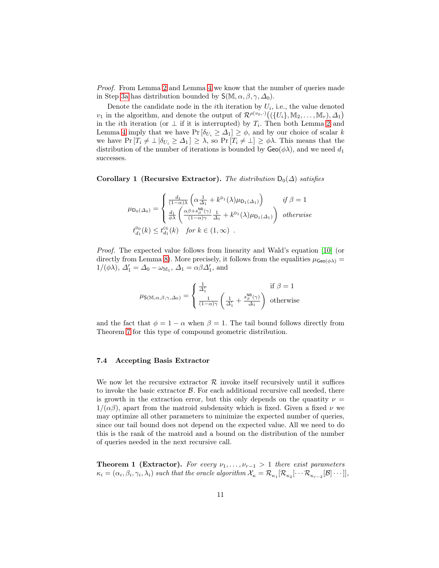Proof. From Lemma [2](#page-7-0) and Lemma [4](#page-8-0) we know that the number of queries made in Step [3a](#page-9-0) has distribution bounded by  $S(\mathbb{M}, \alpha, \beta, \gamma, \Delta_0)$ .

Denote the candidate node in the *i*th iteration by  $U_i$ , i.e., the value denoted  $v_1$  in the algorithm, and denote the output of  $\mathcal{R}^{\rho(v_0,\cdot)}((\{U_i\}, \mathbb{M}_2, \ldots, \mathbb{M}_r), \Delta_1)$ in the *i*th iteration (or  $\perp$  if it is interrupted) by  $T_i$ . Then both Lemma [2](#page-7-0) and Lemma [4](#page-8-0) imply that we have  $Pr[\delta_{U_i} \geq \Delta_1] \geq \phi$ , and by our choice of scalar k we have  $Pr[T_i \neq \bot | \delta_{U_i} \geq \Delta_1] \geq \lambda$ , so  $Pr[T_i \neq \bot] \geq \phi\lambda$ . This means that the distribution of the number of iterations is bounded by  $Geo(\phi\lambda)$ , and we need  $d_1$ successes.

<span id="page-10-1"></span>Corollary 1 (Recursive Extractor). The distribution  $D_0(\Delta)$  satisfies

$$
\mu_{\mathsf{D}_0(\Delta_0)} = \begin{cases}\n\frac{d_1}{(1-\alpha)\lambda} \left( \alpha \frac{1}{\Delta_1} + k^{\mathsf{D}_1}(\lambda) \mu_{\mathsf{D}_1(\Delta_1)} \right) & \text{if } \beta = 1 \\
\frac{d_1}{\phi \lambda} \left( \frac{\alpha \beta + s_\beta^{\mathsf{MB}}(\gamma)}{(1-\alpha)\gamma} \frac{1}{\Delta_1} + k^{\mathsf{D}_1}(\lambda) \mu_{\mathsf{D}_1(\Delta_1)} \right) & \text{otherwise} \\
t_{d_1}^{\mathsf{D}_0}(k) \le t_{d_1}^{\mathsf{cc}}(k) & \text{for } k \in (1, \infty)\n\end{cases}
$$

Proof. The expected value follows from linearity and Wald's equation [\[10\]](#page-16-7) (or directly from Lemma [8\)](#page-20-0). More precisely, it follows from the equalities  $\mu_{\text{Geo}(\phi\lambda)} =$  $1/(\phi \lambda)$ ,  $\Delta'_1 = \Delta_0 - \omega_{\mathbb{M}_1}$ ,  $\Delta_1 = \alpha \beta \Delta'_1$ , and

$$
\mu_{\mathsf{S}(\mathbb{M},\alpha,\beta,\gamma,\Delta_0)} = \left\{ \begin{array}{ll} \frac{1}{\Delta_1'} & \text{if } \beta = 1 \\ \frac{1}{(1-\alpha)\gamma} \left( \frac{1}{\Delta_1'} + \frac{s^{\text{NB}}_\beta(\gamma)}{\Delta_1} \right) & \text{otherwise} \end{array} \right.
$$

and the fact that  $\phi = 1 - \alpha$  when  $\beta = 1$ . The tail bound follows directly from Theorem [7](#page-22-0) for this type of compound geometric distribution.

#### 7.4 Accepting Basis Extractor

We now let the recursive extractor  $\mathcal R$  invoke itself recursively until it suffices to invoke the basic extractor  $\beta$ . For each additional recursive call needed, there is growth in the extraction error, but this only depends on the quantity  $\nu =$  $1/(\alpha\beta)$ , apart from the matroid subdensity which is fixed. Given a fixed  $\nu$  we may optimize all other parameters to minimize the expected number of queries, since our tail bound does not depend on the expected value. All we need to do this is the rank of the matroid and a bound on the distribution of the number of queries needed in the next recursive call.

<span id="page-10-0"></span>**Theorem 1 (Extractor).** For every  $\nu_1, \ldots, \nu_{r-1} > 1$  there exist parameters  $\kappa_i = (\alpha_i, \beta_i, \gamma_i, \lambda_i)$  such that the oracle algorithm  $\mathcal{X}_\kappa = \mathcal{R}_{\kappa_1}[\mathcal{R}_{\kappa_2}[\cdots \mathcal{R}_{\kappa_{r-2}}[\mathcal{B}]\cdots]],$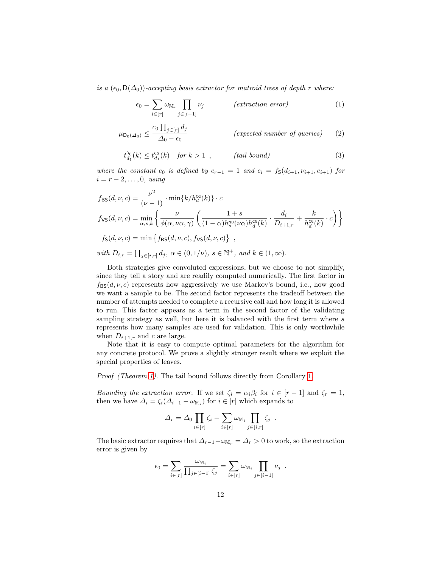is a  $(\epsilon_0, D(\Delta_0))$ -accepting basis extractor for matroid trees of depth r where:

$$
\epsilon_0 = \sum_{i \in [r]} \omega_{\mathbb{M}_i} \prod_{j \in [i-1]} \nu_j \qquad \qquad (extraction \ error)
$$
 (1)

$$
\mu_{\mathsf{D}_0(\Delta_0)} \le \frac{c_0 \prod_{j \in [r]} d_j}{\Delta_0 - \epsilon_0} \qquad \qquad \text{(expected number of queries)} \qquad (2)
$$

$$
t_{d_1}^{D_0}(k) \le t_{d_1}^{c_6}(k) \quad \text{for } k > 1 \tag{tail bound}
$$
\n
$$
(3)
$$

where the constant  $c_0$  is defined by  $c_{r-1} = 1$  and  $c_i = f_S(d_{i+1}, \nu_{i+1}, c_{i+1})$  for  $i = r - 2, \ldots, 0$ , using

$$
f_{\text{BS}}(d, \nu, c) = \frac{\nu^2}{(\nu - 1)} \cdot \min\{k/h_d^{\text{CG}}(k)\} \cdot c
$$
  
\n
$$
f_{\text{VS}}(d, \nu, c) = \min_{\alpha, s, k} \left\{ \frac{\nu}{\phi(\alpha, \nu\alpha, \gamma)} \left( \frac{1+s}{(1-\alpha)h_s^{\text{NB}}(\nu\alpha)h_d^{\text{CG}}(k)} \cdot \frac{d_i}{D_{i+1,r}} + \frac{k}{h_d^{\text{CG}}(k)} \cdot c \right) \right\}
$$
  
\n
$$
f_{\text{S}}(d, \nu, c) = \min \left\{ f_{\text{BS}}(d, \nu, c), f_{\text{VS}}(d, \nu, c) \right\},
$$
  
\nwith  $D_{i,r} = \prod_{j \in [i,r]} d_j, \alpha \in (0, 1/\nu), s \in \mathbb{N}^+, \text{ and } k \in (1, \infty).$ 

Both strategies give convoluted expressions, but we choose to not simplify, since they tell a story and are readily computed numerically. The first factor in  $f_{\text{BS}}(d, \nu, c)$  represents how aggressively we use Markov's bound, i.e., how good we want a sample to be. The second factor represents the tradeoff between the number of attempts needed to complete a recursive call and how long it is allowed to run. This factor appears as a term in the second factor of the validating sampling strategy as well, but here it is balanced with the first term where s represents how many samples are used for validation. This is only worthwhile when  $D_{i+1,r}$  and c are large.

Note that it is easy to compute optimal parameters for the algorithm for any concrete protocol. We prove a slightly stronger result where we exploit the special properties of leaves.

Proof (Theorem [1\)](#page-10-0). The tail bound follows directly from Corollary [1.](#page-10-1)

Bounding the extraction error. If we set  $\zeta_i = \alpha_i \beta_i$  for  $i \in [r-1]$  and  $\zeta_r = 1$ , then we have  $\Delta_i = \zeta_i(\Delta_{i-1} - \omega_{\mathbb{M}_i})$  for  $i \in [r]$  which expands to

$$
\Delta_r = \Delta_0 \prod_{i \in [r]} \zeta_i - \sum_{i \in [r]} \omega_{\mathbb{M}_i} \prod_{j \in [i,r]} \zeta_j.
$$

The basic extractor requires that  $\Delta_{r-1}-\omega_{\mathbb{M}_r}=\Delta_r>0$  to work, so the extraction error is given by

$$
\epsilon_0 = \sum_{i \in [r]} \frac{\omega_{\mathbb{M}_i}}{\prod_{j \in [i-1]} \zeta_j} = \sum_{i \in [r]} \omega_{\mathbb{M}_i} \prod_{j \in [i-1]} \nu_j.
$$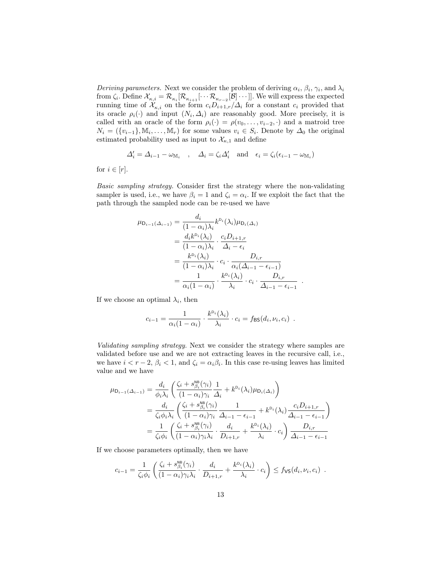Deriving parameters. Next we consider the problem of deriving  $\alpha_i$ ,  $\beta_i$ ,  $\gamma_i$ , and  $\lambda_i$ from  $\zeta_i$ . Define  $\mathcal{X}_{\kappa,i} = \mathcal{R}_{\kappa_i}[\mathcal{R}_{\kappa_{i+1}}[\cdots \mathcal{R}_{\kappa_{r-2}}[\mathcal{B}]\cdots]]$ . We will express the expected running time of  $\mathcal{X}_{\kappa,i}$  on the form  $c_i D_{i+1,r}/\Delta_i$  for a constant  $c_i$  provided that its oracle  $\rho_i(\cdot)$  and input  $(N_i, \Delta_i)$  are reasonably good. More precisely, it is called with an oracle of the form  $\rho_i(\cdot) = \rho(v_0, \ldots, v_{i-2}, \cdot)$  and a matroid tree  $N_i = (\{v_{i-1}\}, \mathbb{M}_i, \dots, \mathbb{M}_r)$  for some values  $v_i \in S_i$ . Denote by  $\Delta_0$  the original estimated probability used as input to  $\mathcal{X}_{\kappa,1}$  and define

$$
\Delta_i' = \Delta_{i-1} - \omega_{\mathbb{M}_i} \quad , \quad \Delta_i = \zeta_i \Delta_i' \quad \text{and} \quad \epsilon_i = \zeta_i (\epsilon_{i-1} - \omega_{\mathbb{M}_i})
$$

for  $i \in [r]$ .

Basic sampling strategy. Consider first the strategy where the non-validating sampler is used, i.e., we have  $\beta_i = 1$  and  $\zeta_i = \alpha_i$ . If we exploit the fact that the path through the sampled node can be re-used we have

$$
\mu_{\mathsf{D}_{i-1}(\Delta_{i-1})} = \frac{d_i}{(1 - \alpha_i)\lambda_i} k^{\mathsf{D}_i}(\lambda_i) \mu_{\mathsf{D}_i(\Delta_i)}
$$
  
\n
$$
= \frac{d_i k^{\mathsf{D}_i}(\lambda_i)}{(1 - \alpha_i)\lambda_i} \cdot \frac{c_i D_{i+1,r}}{\Delta_i - \epsilon_i}
$$
  
\n
$$
= \frac{k^{\mathsf{D}_i}(\lambda_i)}{(1 - \alpha_i)\lambda_i} \cdot c_i \cdot \frac{D_{i,r}}{\alpha_i(\Delta_{i-1} - \epsilon_{i-1})}
$$
  
\n
$$
= \frac{1}{\alpha_i(1 - \alpha_i)} \cdot \frac{k^{\mathsf{D}_i}(\lambda_i)}{\lambda_i} \cdot c_i \cdot \frac{D_{i,r}}{\Delta_{i-1} - \epsilon_{i-1}}
$$

.

If we choose an optimal  $\lambda_i$ , then

$$
c_{i-1} = \frac{1}{\alpha_i (1 - \alpha_i)} \cdot \frac{k^{b_i}(\lambda_i)}{\lambda_i} \cdot c_i = f_{\text{BS}}(d_i, \nu_i, c_i) .
$$

Validating sampling strategy. Next we consider the strategy where samples are validated before use and we are not extracting leaves in the recursive call, i.e., we have  $i < r-2$ ,  $\beta_i < 1$ , and  $\zeta_i = \alpha_i \beta_i$ . In this case re-using leaves has limited value and we have

$$
\mu_{\mathsf{D}_{i-1}(\Delta_{i-1})} = \frac{d_i}{\phi_i \lambda_i} \left( \frac{\zeta_i + s_{\beta_i}^{\text{BS}}(\gamma_i)}{(1 - \alpha_i)\gamma_i} \frac{1}{\Delta_i} + k^{\mathsf{D}_i}(\lambda_i) \mu_{\mathsf{D}_i(\Delta_i)} \right)
$$
  
\n
$$
= \frac{d_i}{\zeta_i \phi_i \lambda_i} \left( \frac{\zeta_i + s_{\beta_i}^{\text{NS}}(\gamma_i)}{(1 - \alpha_i)\gamma_i} \frac{1}{\Delta_{i-1} - \epsilon_{i-1}} + k^{\mathsf{D}_i}(\lambda_i) \frac{c_i D_{i+1,r}}{\Delta_{i-1} - \epsilon_{i-1}} \right)
$$
  
\n
$$
= \frac{1}{\zeta_i \phi_i} \left( \frac{\zeta_i + s_{\beta_i}^{\text{NS}}(\gamma_i)}{(1 - \alpha_i)\gamma_i \lambda_i} \cdot \frac{d_i}{D_{i+1,r}} + \frac{k^{\mathsf{D}_i}(\lambda_i)}{\lambda_i} \cdot c_i \right) \frac{D_{i,r}}{\Delta_{i-1} - \epsilon_{i-1}}
$$

If we choose parameters optimally, then we have

$$
c_{i-1} = \frac{1}{\zeta_i \phi_i} \left( \frac{\zeta_i + s^{\text{NS}}_{\beta_i}(\gamma_i)}{(1 - \alpha_i)\gamma_i \lambda_i} \cdot \frac{d_i}{D_{i+1,r}} + \frac{k^{D_i}(\lambda_i)}{\lambda_i} \cdot c_i \right) \leq f_{\text{VS}}(d_i, \nu_i, c_i) .
$$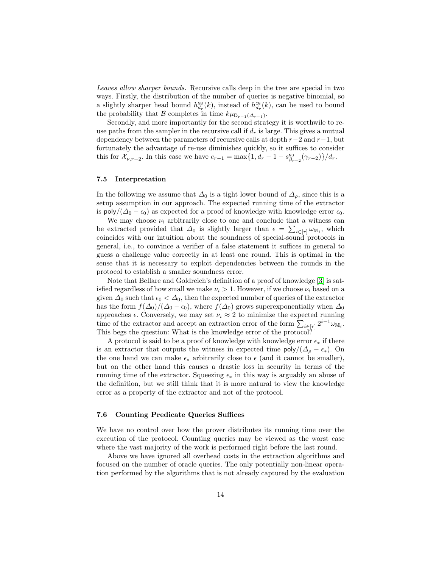Leaves allow sharper bounds. Recursive calls deep in the tree are special in two ways. Firstly, the distribution of the number of queries is negative binomial, so a slightly sharper head bound  $h_{d_r}^{\text{NS}}(k)$ , instead of  $h_{d_r}^{\text{CG}}(k)$ , can be used to bound the probability that B completes in time  $k\mu_{\mathsf{D}_{r-1}(\Delta_{r-1})}$ .

Secondly, and more importantly for the second strategy it is worthwile to reuse paths from the sampler in the recursive call if  $d_r$  is large. This gives a mutual dependency between the parameters of recursive calls at depth  $r-2$  and  $r-1$ , but fortunately the advantage of re-use diminishes quickly, so it suffices to consider this for  $\mathcal{X}_{\nu,r-2}$ . In this case we have  $c_{r-1} = \max\{1, d_r - 1 - s_{\beta_{r-2}}^{\text{NB}}(\gamma_{r-2})\}/d_r$ .

#### 7.5 Interpretation

In the following we assume that  $\Delta_0$  is a tight lower bound of  $\Delta_0$ , since this is a setup assumption in our approach. The expected running time of the extractor is poly/ $(\Delta_0 - \epsilon_0)$  as expected for a proof of knowledge with knowledge error  $\epsilon_0$ .

We may choose  $\nu_i$  arbitrarily close to one and conclude that a witness can be extracted provided that  $\Delta_0$  is slightly larger than  $\epsilon = \sum_{i \in [r]} \omega_{\mathbb{M}_i}$ , which coincides with our intuition about the soundness of special-sound protocols in general, i.e., to convince a verifier of a false statement it suffices in general to guess a challenge value correctly in at least one round. This is optimal in the sense that it is necessary to exploit dependencies between the rounds in the protocol to establish a smaller soundness error.

Note that Bellare and Goldreich's definition of a proof of knowledge [\[3\]](#page-16-4) is satisfied regardless of how small we make  $\nu_i > 1$ . However, if we choose  $\nu_i$  based on a given  $\Delta_0$  such that  $\epsilon_0 < \Delta_0$ , then the expected number of queries of the extractor has the form  $f(\Delta_0)/(\Delta_0 - \epsilon_0)$ , where  $f(\Delta_0)$  grows superexponentially when  $\Delta_0$ approaches  $\epsilon$ . Conversely, we may set  $\nu_i \approx 2$  to minimize the expected running time of the extractor and accept an extraction error of the form  $\sum_{i \in [r]} 2^{i-1} \omega_{\mathbb{M}_i}$ . This begs the question: What is the knowledge error of the protocol?

A protocol is said to be a proof of knowledge with knowledge error  $\epsilon_*$  if there is an extractor that outputs the witness in expected time  $\text{poly}/(\Delta_{\rho}-\epsilon_*)$ . On the one hand we can make  $\epsilon_*$  arbitrarily close to  $\epsilon$  (and it cannot be smaller), but on the other hand this causes a drastic loss in security in terms of the running time of the extractor. Squeezing  $\epsilon_*$  in this way is arguably an abuse of the definition, but we still think that it is more natural to view the knowledge error as a property of the extractor and not of the protocol.

#### 7.6 Counting Predicate Queries Suffices

We have no control over how the prover distributes its running time over the execution of the protocol. Counting queries may be viewed as the worst case where the vast majority of the work is performed right before the last round.

Above we have ignored all overhead costs in the extraction algorithms and focused on the number of oracle queries. The only potentially non-linear operation performed by the algorithms that is not already captured by the evaluation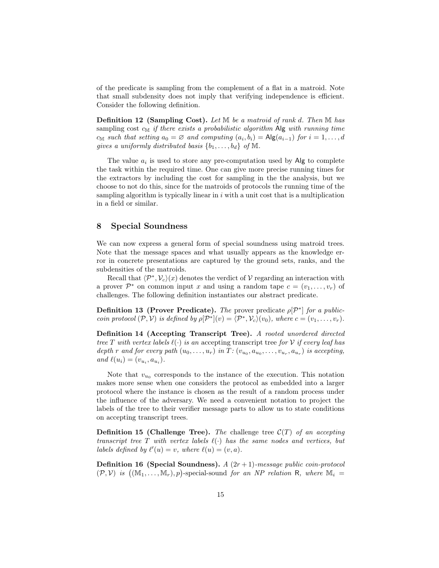of the predicate is sampling from the complement of a flat in a matroid. Note that small subdensity does not imply that verifying independence is efficient. Consider the following definition.

**Definition 12 (Sampling Cost).** Let  $\mathbb{M}$  be a matroid of rank d. Then  $\mathbb{M}$  has sampling cost  $c_M$  if there exists a probabilistic algorithm Alg with running time  $c_M$  such that setting  $a_0 = \emptyset$  and computing  $(a_i, b_i) = \mathsf{Alg}(a_{i-1})$  for  $i = 1, ..., d$ gives a uniformly distributed basis  $\{b_1, \ldots, b_d\}$  of M.

The value  $a_i$  is used to store any pre-computation used by Alg to complete the task within the required time. One can give more precise running times for the extractors by including the cost for sampling in the the analysis, but we choose to not do this, since for the matroids of protocols the running time of the sampling algorithm is typically linear in  $i$  with a unit cost that is a multiplication in a field or similar.

## <span id="page-14-1"></span>8 Special Soundness

We can now express a general form of special soundness using matroid trees. Note that the message spaces and what usually appears as the knowledge error in concrete presentations are captured by the ground sets, ranks, and the subdensities of the matroids.

Recall that  $\langle \mathcal{P}^*, \mathcal{V}_c \rangle(x)$  denotes the verdict of V regarding an interaction with a prover  $\mathcal{P}^*$  on common input x and using a random tape  $c = (v_1, \ldots, v_r)$  of challenges. The following definition instantiates our abstract predicate.

<span id="page-14-0"></span>**Definition 13 (Prover Predicate).** The prover predicate  $\rho[\mathcal{P}^*]$  for a publiccoin protocol  $(\mathcal{P}, \mathcal{V})$  is defined by  $\rho[\mathcal{P}^*](v) = \langle \mathcal{P}^*, \mathcal{V}_c \rangle(v_0)$ , where  $c = (v_1, \ldots, v_r)$ .

Definition 14 (Accepting Transcript Tree). A rooted unordered directed tree T with vertex labels  $\ell(\cdot)$  is an accepting transcript tree for V if every leaf has depth r and for every path  $(u_0, \ldots, u_r)$  in  $T: (v_{u_0}, a_{u_0}, \ldots, v_{u_r}, a_{u_r})$  is accepting, and  $\ell(u_i) = (v_{u_i}, a_{u_i}).$ 

Note that  $v_{u_0}$  corresponds to the instance of the execution. This notation makes more sense when one considers the protocol as embedded into a larger protocol where the instance is chosen as the result of a random process under the influence of the adversary. We need a convenient notation to project the labels of the tree to their verifier message parts to allow us to state conditions on accepting transcript trees.

**Definition 15 (Challenge Tree).** The challenge tree  $\mathcal{C}(T)$  of an accepting transcript tree T with vertex labels  $\ell(\cdot)$  has the same nodes and vertices, but labels defined by  $\ell'(u) = v$ , where  $\ell(u) = (v, a)$ .

**Definition 16 (Special Soundness).** A  $(2r + 1)$ -message public coin-protocol  $(\mathcal{P}, \mathcal{V})$  is  $((\mathbb{M}_1, \ldots, \mathbb{M}_r), p)$ -special-sound for an NP relation R, where  $\mathbb{M}_i =$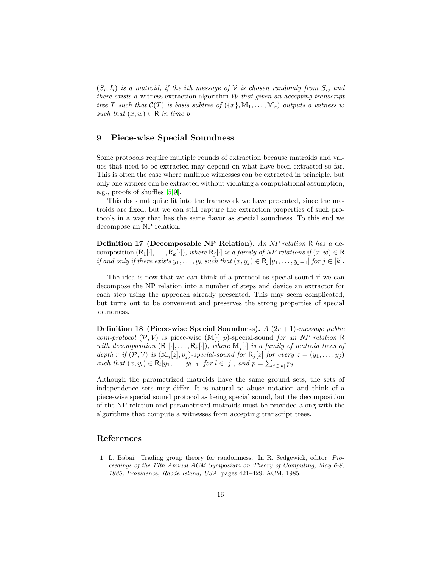$(S_i, I_i)$  is a matroid, if the ith message of  $\mathcal V$  is chosen randomly from  $S_i$ , and there exists a witness extraction algorithm  $W$  that given an accepting transcript tree T such that  $\mathcal{C}(T)$  is basis subtree of  $(\{x\}, \mathbb{M}_1, \ldots, \mathbb{M}_r)$  outputs a witness w such that  $(x, w) \in \mathbb{R}$  in time p.

## 9 Piece-wise Special Soundness

Some protocols require multiple rounds of extraction because matroids and values that need to be extracted may depend on what have been extracted so far. This is often the case where multiple witnesses can be extracted in principle, but only one witness can be extracted without violating a computational assumption, e.g., proofs of shuffles [\[5,](#page-16-8)[9\]](#page-16-9).

This does not quite fit into the framework we have presented, since the matroids are fixed, but we can still capture the extraction properties of such protocols in a way that has the same flavor as special soundness. To this end we decompose an NP relation.

Definition 17 (Decomposable NP Relation). An NP relation R has a decomposition  $(R_1[\cdot], \ldots, R_k[\cdot])$ , where  $R_i[\cdot]$  is a family of NP relations if  $(x, w) \in R$ if and only if there exists  $y_1, \ldots, y_k$  such that  $(x, y_j) \in R_j[y_1, \ldots, y_{j-1}]$  for  $j \in [k]$ .

The idea is now that we can think of a protocol as special-sound if we can decompose the NP relation into a number of steps and device an extractor for each step using the approach already presented. This may seem complicated, but turns out to be convenient and preserves the strong properties of special soundness.

Definition 18 (Piece-wise Special Soundness). A  $(2r + 1)$ -message public coin-protocol  $(\mathcal{P}, \mathcal{V})$  is piece-wise  $(\mathbb{M}[\cdot], p)$ -special-sound for an NP relation R with decomposition  $(R_1[\cdot], \ldots, R_k[\cdot])$ , where  $\mathbb{M}_j[\cdot]$  is a family of matroid trees of depth r if  $(\mathcal{P}, \mathcal{V})$  is  $(\mathbb{M}_j[z], p_j)$ -special-sound for  $\mathsf{R}_j[z]$  for every  $z = (y_1, \ldots, y_j)$ such that  $(x, y_l) \in \mathsf{R}_l[y_1, \ldots, y_{l-1}]$  for  $l \in [j]$ , and  $p = \sum_{j \in [k]} p_j$ .

Although the parametrized matroids have the same ground sets, the sets of independence sets may differ. It is natural to abuse notation and think of a piece-wise special sound protocol as being special sound, but the decomposition of the NP relation and parametrized matroids must be provided along with the algorithms that compute a witnesses from accepting transcript trees.

## References

<span id="page-15-0"></span>1. L. Babai. Trading group theory for randomness. In R. Sedgewick, editor, Proceedings of the 17th Annual ACM Symposium on Theory of Computing, May 6-8, 1985, Providence, Rhode Island, USA, pages 421–429. ACM, 1985.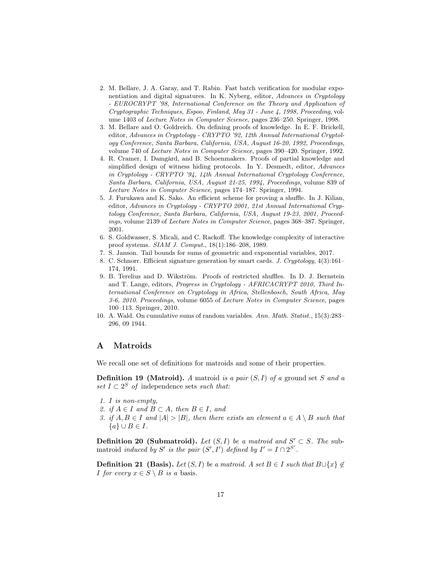- <span id="page-16-3"></span>2. M. Bellare, J. A. Garay, and T. Rabin. Fast batch verification for modular exponentiation and digital signatures. In K. Nyberg, editor, Advances in Cryptology - EUROCRYPT '98, International Conference on the Theory and Application of Cryptographic Techniques, Espoo, Finland, May 31 - June 4, 1998, Proceeding, volume 1403 of Lecture Notes in Computer Science, pages 236–250. Springer, 1998.
- <span id="page-16-4"></span>3. M. Bellare and O. Goldreich. On defining proofs of knowledge. In E. F. Brickell, editor, Advances in Cryptology - CRYPTO '92, 12th Annual International Cryptology Conference, Santa Barbara, California, USA, August 16-20, 1992, Proceedings, volume 740 of Lecture Notes in Computer Science, pages 390–420. Springer, 1992.
- <span id="page-16-1"></span>4. R. Cramer, I. Damgård, and B. Schoenmakers. Proofs of partial knowledge and simplified design of witness hiding protocols. In Y. Desmedt, editor, Advances in Cryptology - CRYPTO '94, 14th Annual International Cryptology Conference, Santa Barbara, California, USA, August 21-25, 1994, Proceedings, volume 839 of Lecture Notes in Computer Science, pages 174–187. Springer, 1994.
- <span id="page-16-8"></span>5. J. Furukawa and K. Sako. An efficient scheme for proving a shuffle. In J. Kilian, editor, Advances in Cryptology - CRYPTO 2001, 21st Annual International Cryptology Conference, Santa Barbara, California, USA, August 19-23, 2001, Proceedings, volume 2139 of Lecture Notes in Computer Science, pages 368–387. Springer, 2001.
- <span id="page-16-0"></span>6. S. Goldwasser, S. Micali, and C. Rackoff. The knowledge complexity of interactive proof systems. SIAM J. Comput., 18(1):186–208, 1989.
- <span id="page-16-5"></span>7. S. Janson. Tail bounds for sums of geometric and exponential variables, 2017.
- <span id="page-16-2"></span>8. C. Schnorr. Efficient signature generation by smart cards. J. Cryptology, 4(3):161– 174, 1991.
- <span id="page-16-9"></span>9. B. Terelius and D. Wikström. Proofs of restricted shuffles. In D. J. Bernstein and T. Lange, editors, Progress in Cryptology - AFRICACRYPT 2010, Third International Conference on Cryptology in Africa, Stellenbosch, South Africa, May 3-6, 2010. Proceedings, volume 6055 of Lecture Notes in Computer Science, pages 100–113. Springer, 2010.
- <span id="page-16-7"></span>10. A. Wald. On cumulative sums of random variables. Ann. Math. Statist., 15(3):283– 296, 09 1944.

## <span id="page-16-6"></span>A Matroids

We recall one set of definitions for matroids and some of their properties.

**Definition 19 (Matroid).** A matroid is a pair  $(S, I)$  of a ground set S and a set  $I \subset 2^S$  of independence sets such that:

- 1. I is non-empty,
- 2. if  $A \in I$  and  $B \subset A$ , then  $B \in I$ , and
- 3. if  $A, B \in I$  and  $|A| > |B|$ , then there exists an element  $a \in A \setminus B$  such that  ${a} \cup B \in I$ .

**Definition 20 (Submatroid).** Let  $(S, I)$  be a matroid and  $S' \subset S$ . The submatroid induced by S' is the pair  $(S', I')$  defined by  $I' = I \cap 2^{S'}$ .

**Definition 21 (Basis).** Let  $(S, I)$  be a matroid. A set  $B \in I$  such that  $B \cup \{x\} \notin$ *I* for every  $x \in S \setminus B$  is a basis.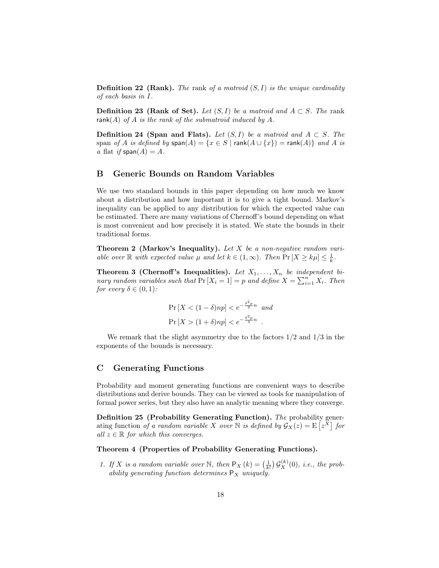**Definition 22 (Rank).** The rank of a matroid  $(S, I)$  is the unique cardinality of each basis in I.

**Definition 23 (Rank of Set).** Let  $(S, I)$  be a matroid and  $A \subset S$ . The rank  $rank(A)$  of A is the rank of the submatroid induced by A.

**Definition 24 (Span and Flats).** Let  $(S, I)$  be a matroid and  $A \subset S$ . The span of A is defined by  $\textsf{span}(A) = \{x \in S \mid \textsf{rank}(A \cup \{x\}) = \textsf{rank}(A)\}\$  and A is a flat if  $\text{span}(A) = A$ .

## B Generic Bounds on Random Variables

We use two standard bounds in this paper depending on how much we know about a distribution and how important it is to give a tight bound. Markov's inequality can be applied to any distribution for which the expected value can be estimated. There are many variations of Chernoff's bound depending on what is most convenient and how precisely it is stated. We state the bounds in their traditional forms.

**Theorem 2 (Markov's Inequality).** Let  $X$  be a non-negative random variable over  $\mathbb R$  with expected value  $\mu$  and let  $k \in (1,\infty)$ . Then  $\Pr[X \geq k\mu] \leq \frac{1}{k}$ .

<span id="page-17-0"></span>**Theorem 3 (Chernoff's Inequalities).** Let  $X_1, \ldots, X_n$  be independent binary random variables such that  $Pr[X_i = 1] = p$  and define  $X = \sum_{i=1}^{n} X_i$ . Then for every  $\delta \in (0,1)$ :

$$
\Pr\left[X < (1 - \delta)np\right] < e^{-\frac{\delta^2 p}{2}n} \quad \text{and}
$$
\n
$$
\Pr\left[X > (1 + \delta)np\right] < e^{-\frac{\delta^2 p}{3}n} \quad .
$$

We remark that the slight asymmetry due to the factors  $1/2$  and  $1/3$  in the exponents of the bounds is necessary.

## C Generating Functions

Probability and moment generating functions are convenient ways to describe distributions and derive bounds. They can be viewed as tools for manipulation of formal power series, but they also have an analytic meaning where they converge.

Definition 25 (Probability Generating Function). The probability generating function of a random variable X over N is defined by  $\mathcal{G}_X(z) = \mathrm{E}\left[z^X\right]$  for all  $z \in \mathbb{R}$  for which this converges.

## Theorem 4 (Properties of Probability Generating Functions).

1. If X is a random variable over N, then  $P_X(k) = \left(\frac{1}{k!}\right) \mathcal{G}_X^{(k)}(0)$ , i.e., the probability generating function determines  $P_X$  uniquely.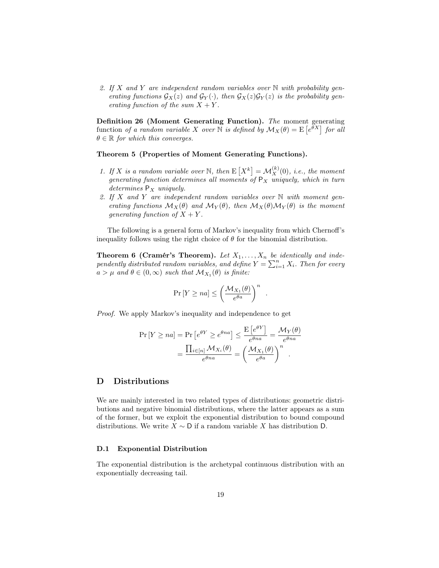2. If X and Y are independent random variables over  $\mathbb N$  with probability generating functions  $\mathcal{G}_X(z)$  and  $\mathcal{G}_Y(\cdot)$ , then  $\mathcal{G}_X(z)\mathcal{G}_Y(z)$  is the probability generating function of the sum  $X + Y$ .

Definition 26 (Moment Generating Function). The moment generating function of a random variable X over N is defined by  $\mathcal{M}_X(\theta) = \mathrm{E}\left[e^{\theta X}\right]$  for all  $\theta \in \mathbb{R}$  for which this converges.

Theorem 5 (Properties of Moment Generating Functions).

- 1. If X is a random variable over N, then  $E[X^k] = \mathcal{M}_X^{(k)}(0)$ , i.e., the moment generating function determines all moments of  $P_X$  uniquely, which in turn determines  $P_X$  uniquely.
- 2. If X and Y are independent random variables over  $\mathbb N$  with moment generating functions  $\mathcal{M}_X(\theta)$  and  $\mathcal{M}_Y(\theta)$ , then  $\mathcal{M}_X(\theta)\mathcal{M}_Y(\theta)$  is the moment generating function of  $X + Y$ .

The following is a general form of Markov's inequality from which Chernoff's inequality follows using the right choice of  $\theta$  for the binomial distribution.

<span id="page-18-0"></span>**Theorem 6 (Cramér's Theorem).** Let  $X_1, \ldots, X_n$  be identically and independently distributed random variables, and define  $Y = \sum_{i=1}^{n} X_i$ . Then for every  $a > \mu$  and  $\theta \in (0, \infty)$  such that  $\mathcal{M}_{X_1}(\theta)$  is finite:

$$
\Pr\left[Y \ge na\right] \le \left(\frac{\mathcal{M}_{X_1}(\theta)}{e^{\theta a}}\right)^n
$$

.

Proof. We apply Markov's inequality and independence to get

$$
\Pr[Y \ge na] = \Pr\left[e^{\theta Y} \ge e^{\theta na}\right] \le \frac{\mathbb{E}\left[e^{\theta Y}\right]}{e^{\theta na}} = \frac{\mathcal{M}_Y(\theta)}{e^{\theta na}}
$$

$$
= \frac{\prod_{i \in [n]} \mathcal{M}_{X_i}(\theta)}{e^{\theta na}} = \left(\frac{\mathcal{M}_{X_1}(\theta)}{e^{\theta a}}\right)^n.
$$

## D Distributions

We are mainly interested in two related types of distributions: geometric distributions and negative binomial distributions, where the latter appears as a sum of the former, but we exploit the exponential distribution to bound compound distributions. We write  $X \sim D$  if a random variable X has distribution D.

### D.1 Exponential Distribution

The exponential distribution is the archetypal continuous distribution with an exponentially decreasing tail.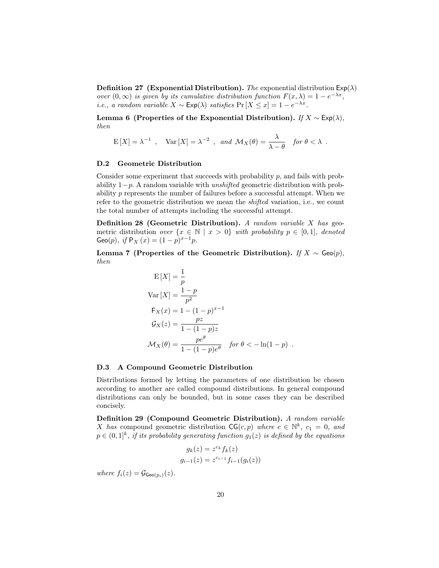**Definition 27 (Exponential Distribution).** The exponential distribution  $Exp(\lambda)$ over  $(0, \infty)$  is given by its cumulative distribution function  $F(x, \lambda) = 1 - e^{-\lambda x}$ , i.e., a random variable  $X \sim \text{Exp}(\lambda)$  satisfies  $\Pr[X \le x] = 1 - e^{-\lambda x}$ .

Lemma 6 (Properties of the Exponential Distribution). If  $X \sim \text{Exp}(\lambda)$ , then

$$
\mathcal{E}[X] = \lambda^{-1} , \quad \text{Var}[X] = \lambda^{-2} , \text{ and } \mathcal{M}_X(\theta) = \frac{\lambda}{\lambda - \theta} \text{ for } \theta < \lambda .
$$

#### D.2 Geometric Distribution

Consider some experiment that succeeds with probability  $p$ , and fails with probability  $1-p$ . A random variable with *unshifted* geometric distribution with probability  $p$  represents the number of failures before a successful attempt. When we refer to the geometric distribution we mean the shifted variation, i.e., we count the total number of attempts including the successful attempt.

**Definition 28 (Geometric Distribution).** A random variable X has geometric distribution over  $\{x \in \mathbb{N} \mid x > 0\}$  with probability  $p \in [0,1]$ , denoted Geo(p), if  $P_X(x) = (1-p)^{x-1}p$ .

Lemma 7 (Properties of the Geometric Distribution). If  $X \sim \text{Geo}(p)$ , then

$$
E[X] = \frac{1}{p}
$$
  
\n
$$
Var[X] = \frac{1-p}{p^2}
$$
  
\n
$$
F_X(x) = 1 - (1-p)^{x-1}
$$
  
\n
$$
G_X(z) = \frac{pz}{1 - (1-p)z}
$$
  
\n
$$
\mathcal{M}_X(\theta) = \frac{pe^{\theta}}{1 - (1-p)e^{\theta}} \quad \text{for } \theta < -\ln(1-p) .
$$

### D.3 A Compound Geometric Distribution

Distributions formed by letting the parameters of one distribution be chosen according to another are called compound distributions. In general compound distributions can only be bounded, but in some cases they can be described concisely.

<span id="page-19-0"></span>Definition 29 (Compound Geometric Distribution). A random variable X has compound geometric distribution  $\mathsf{CG}(c, p)$  where  $c \in \mathbb{N}^k$ ,  $c_1 = 0$ , and  $p \in (0,1]^k$ , if its probability generating function  $g_1(z)$  is defined by the equations

$$
g_k(z) = z^{c_k} f_k(z)
$$
  

$$
g_{i-1}(z) = z^{c_{i-1}} f_{i-1}(g_i(z))
$$

where  $f_i(z) = \mathcal{G}_{\mathsf{Geo}(p_i)}(z)$ .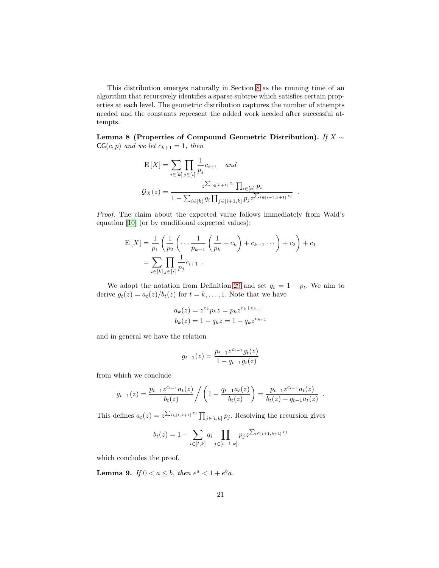This distribution emerges naturally in Section [8](#page-14-1) as the running time of an algorithm that recursively identifies a sparse subtree which satisfies certain properties at each level. The geometric distribution captures the number of attempts needed and the constants represent the added work needed after successful attempts.

<span id="page-20-0"></span>Lemma 8 (Properties of Compound Geometric Distribution). If  $X \sim$  $CG(c, p)$  and we let  $c_{k+1} = 1$ , then

$$
E[X] = \sum_{i \in [k]} \prod_{j \in [i]} \frac{1}{p_j} c_{i+1} \quad and
$$
  

$$
\mathcal{G}_X(z) = \frac{z^{\sum_{i \in [k+1]} c_i} \prod_{i \in [k]} p_i}{1 - \sum_{i \in [k]} q_i \prod_{j \in [i+1, k]} p_j z^{\sum_{l \in [i+1, k+1]} c_l}}
$$

.

Proof. The claim about the expected value follows immediately from Wald's equation [\[10\]](#page-16-7) (or by conditional expected values):

$$
E[X] = \frac{1}{p_1} \left( \frac{1}{p_2} \left( \cdots \frac{1}{p_{k-1}} \left( \frac{1}{p_k} + c_k \right) + c_{k-1} \cdots \right) + c_2 \right) + c_1
$$
  
= 
$$
\sum_{i \in [k]} \prod_{j \in [i]} \frac{1}{p_j} c_{i+1} .
$$

We adopt the notation from Definition [29](#page-19-0) and set  $q_t = 1 - p_t$ . We aim to derive  $g_t(z) = a_t(z)/b_t(z)$  for  $t = k, ..., 1$ . Note that we have

$$
a_k(z) = z^{c_k} p_k z = p_k z^{c_k + c_{k+1}}
$$
  

$$
b_k(z) = 1 - q_k z = 1 - q_k z^{c_{k+1}}
$$

and in general we have the relation

$$
g_{t-1}(z) = \frac{p_{t-1}z^{c_{t-1}}g_t(z)}{1 - q_{t-1}g_t(z)}
$$

from which we conclude

$$
g_{t-1}(z) = \frac{p_{t-1}z^{c_{t-1}}a_t(z)}{b_t(z)} / \left(1 - \frac{q_{t-1}a_t(z)}{b_t(z)}\right) = \frac{p_{t-1}z^{c_{t-1}}a_t(z)}{b_t(z) - q_{t-1}a_t(z)}.
$$

This defines  $a_t(z) = z^{\sum_{l \in [t,k+1]} c_l} \prod_{j \in [t,k]} p_j$ . Resolving the recursion gives

$$
b_t(z) = 1 - \sum_{i \in [t,k]} q_i \prod_{j \in [i+1,k]} p_j z^{\sum_{l \in [i+1,k+1]} c_l}
$$

which concludes the proof.

<span id="page-20-1"></span>**Lemma 9.** If  $0 < a \leq b$ , then  $e^a < 1 + e^b a$ .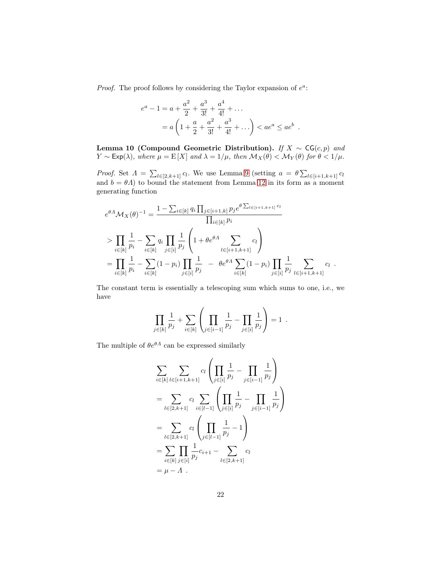*Proof.* The proof follows by considering the Taylor expansion of  $e^a$ :

$$
e^{a} - 1 = a + \frac{a^{2}}{2} + \frac{a^{3}}{3!} + \frac{a^{4}}{4!} + \dots
$$
  
=  $a \left( 1 + \frac{a}{2} + \frac{a^{2}}{3!} + \frac{a^{3}}{4!} + \dots \right) < ae^{a} \le ae^{b}.$ 

<span id="page-21-0"></span>Lemma 10 (Compound Geometric Distribution). If  $X \sim \mathsf{CG}(c, p)$  and  $Y \sim \text{Exp}(\lambda)$ , where  $\mu = \text{E}[X]$  and  $\lambda = 1/\mu$ , then  $\mathcal{M}_X(\theta) < \mathcal{M}_Y(\theta)$  for  $\theta < 1/\mu$ .

*Proof.* Set  $\Lambda = \sum_{l \in [2,k+1]} c_l$ . We use Lemma [9](#page-20-1) (setting  $a = \theta \sum_{l \in [i+1,k+1]} c_l$ and  $b = \theta A$ ) to bound the statement from Lemma [12](#page-22-1) in its form as a moment generating function

$$
e^{\theta A} \mathcal{M}_X(\theta)^{-1} = \frac{1 - \sum_{i \in [k]} q_i \prod_{j \in [i+1,k]} p_j e^{\theta \sum_{l \in [i+1,k+1]} c_l}}{\prod_{i \in [k]} p_i}
$$
  
\n
$$
> \prod_{i \in [k]} \frac{1}{p_i} - \sum_{i \in [k]} q_i \prod_{j \in [i]} \frac{1}{p_j} \left( 1 + \theta e^{\theta A} \sum_{l \in [i+1,k+1]} c_l \right)
$$
  
\n
$$
= \prod_{i \in [k]} \frac{1}{p_i} - \sum_{i \in [k]} (1 - p_i) \prod_{j \in [i]} \frac{1}{p_j} - \theta e^{\theta A} \sum_{i \in [k]} (1 - p_i) \prod_{j \in [i]} \frac{1}{p_j} \sum_{l \in [i+1,k+1]} c_l
$$

.

The constant term is essentially a telescoping sum which sums to one, i.e., we have

$$
\prod_{j\in[k]} \frac{1}{p_j} + \sum_{i\in[k]} \left( \prod_{j\in[i-1]} \frac{1}{p_j} - \prod_{j\in[i]} \frac{1}{p_j} \right) = 1.
$$

The multiple of  $\theta e^{\theta A}$  can be expressed similarly

$$
\sum_{i \in [k]} \sum_{l \in [i+1,k+1]} c_l \left( \prod_{j \in [i]} \frac{1}{p_j} - \prod_{j \in [i-1]} \frac{1}{p_j} \right)
$$
\n
$$
= \sum_{l \in [2,k+1]} c_l \sum_{i \in [l-1]} \left( \prod_{j \in [i]} \frac{1}{p_j} - \prod_{j \in [i-1]} \frac{1}{p_j} \right)
$$
\n
$$
= \sum_{l \in [2,k+1]} c_l \left( \prod_{j \in [l-1]} \frac{1}{p_j} - 1 \right)
$$
\n
$$
= \sum_{i \in [k]} \prod_{j \in [i]} \frac{1}{p_j} c_{i+1} - \sum_{l \in [2,k+1]} c_l
$$
\n
$$
= \mu - \Lambda.
$$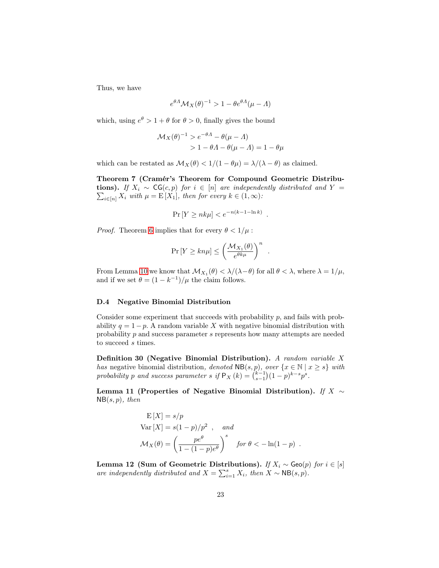Thus, we have

$$
e^{\theta A} \mathcal{M}_X(\theta)^{-1} > 1 - \theta e^{\theta A} (\mu - A)
$$

which, using  $e^{\theta} > 1 + \theta$  for  $\theta > 0$ , finally gives the bound

$$
\mathcal{M}_X(\theta)^{-1} > e^{-\theta A} - \theta(\mu - A)
$$
  
> 1 - \theta A - \theta(\mu - A) = 1 - \theta\mu

which can be restated as  $\mathcal{M}_X(\theta) < 1/(1 - \theta\mu) = \lambda/(\lambda - \theta)$  as claimed.

<span id="page-22-0"></span>Theorem 7 (Cramér's Theorem for Compound Geometric Distribu**tions).** If  $X_i \sim \mathsf{CG}(c, p)$  for  $i \in [n]$  are independently distributed and  $Y =$  $\sum_{i\in[n]} X_i$  with  $\mu = \mathrm{E}[X_1]$ , then for every  $k\in(1,\infty)$ :

$$
\Pr[Y \ge nk\mu] < e^{-n(k-1-\ln k)} \enspace .
$$

*Proof.* Theorem [6](#page-18-0) implies that for every  $\theta < 1/\mu$ :

$$
\Pr\left[Y \ge kn\mu\right] \le \left(\frac{\mathcal{M}_{X_1}(\theta)}{e^{\theta k \mu}}\right)^n
$$

.

From Lemma [10](#page-21-0) we know that  $\mathcal{M}_{X_1}(\theta) < \lambda/(\lambda - \theta)$  for all  $\theta < \lambda$ , where  $\lambda = 1/\mu$ , and if we set  $\theta = (1 - k^{-1})/\mu$  the claim follows.

#### D.4 Negative Binomial Distribution

Consider some experiment that succeeds with probability  $p$ , and fails with probability  $q = 1 - p$ . A random variable X with negative binomial distribution with probability p and success parameter s represents how many attempts are needed to succeed s times.

Definition 30 (Negative Binomial Distribution). A random variable X has negative binomial distribution, denoted  $NB(s, p)$ , over  $\{x \in \mathbb{N} \mid x \geq s\}$  with probability p and success parameter s if  $P_X(k) = \binom{k-1}{s-1}(1-p)^{k-s}p^s$ .

Lemma 11 (Properties of Negative Binomial Distribution). If  $X \sim$  $NB(s, p)$ , then

$$
E[X] = s/p
$$
  
Var [X] = s(1 - p)/p<sup>2</sup>, and  

$$
\mathcal{M}_X(\theta) = \left(\frac{pe^{\theta}}{1 - (1 - p)e^{\theta}}\right)^s \quad \text{for } \theta < -\ln(1 - p).
$$

<span id="page-22-1"></span>Lemma 12 (Sum of Geometric Distributions). If  $X_i \sim \text{Geo}(p)$  for  $i \in [s]$ are independently distributed and  $X = \sum_{i=1}^{s} X_i$ , then  $X \sim NB(s, p)$ .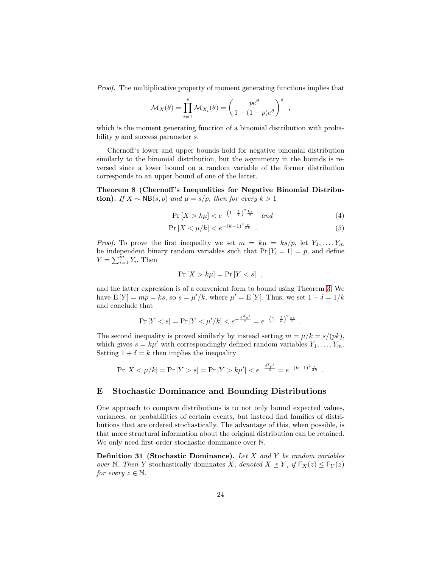Proof. The multiplicative property of moment generating functions implies that

$$
\mathcal{M}_X(\theta) = \prod_{i=1}^s \mathcal{M}_{X_i}(\theta) = \left(\frac{pe^{\theta}}{1 - (1 - p)e^{\theta}}\right)^s
$$

which is the moment generating function of a binomial distribution with probability  $p$  and success parameter  $s$ .

Chernoff's lower and upper bounds hold for negative binomial distribution similarly to the binomial distribution, but the asymmetry in the bounds is reversed since a lower bound on a random variable of the former distribution corresponds to an upper bound of one of the latter.

<span id="page-23-0"></span>Theorem 8 (Chernoff 's Inequalities for Negative Binomial Distribution). If  $X \sim NB(s, p)$  and  $\mu = s/p$ , then for every  $k > 1$ 

$$
\Pr\left[X > k\mu\right] < e^{-\left(1 - \frac{1}{k}\right)^2 \frac{k s}{2}} \quad \text{and} \tag{4}
$$

,

$$
\Pr\left[X < \mu/k\right] < e^{-(k-1)^2 \frac{s}{3k}} \tag{5}
$$

*Proof.* To prove the first inequality we set  $m = k\mu = ks/p$ , let  $Y_1, \ldots, Y_m$ be independent binary random variables such that  $Pr[Y_i = 1] = p$ , and define  $Y = \sum_{i=1}^{m} Y_i$ . Then

$$
\Pr\left[X > k\mu\right] = \Pr\left[Y < s\right] \ ,
$$

and the latter expression is of a convenient form to bound using Theorem [3.](#page-17-0) We have  $E[Y] = mp = ks$ , so  $s = \mu'/k$ , where  $\mu' = E[Y]$ . Thus, we set  $1 - \delta = 1/k$ and conclude that

$$
\Pr[Y < s] = \Pr\left[Y < \mu'/k\right] < e^{-\frac{\delta^2 \mu'}{2}} = e^{-\left(1 - \frac{1}{k}\right)^2 \frac{ks}{2}}.
$$

The second inequality is proved similarly by instead setting  $m = \mu/k = s/(pk)$ , which gives  $s = k\mu'$  with correspondingly defined random variables  $Y_1, \ldots, Y_m$ . Setting  $1 + \delta = k$  then implies the inequality

$$
\Pr\left[X < \mu/k\right] = \Pr\left[Y > s\right] = \Pr\left[Y > k\mu'\right] < e^{-\frac{\delta^2 \mu'}{3}} = e^{-(k-1)^2 \frac{s}{3k}}.
$$

### E Stochastic Dominance and Bounding Distributions

One approach to compare distributions is to not only bound expected values, variances, or probabilities of certain events, but instead find families of distributions that are ordered stochastically. The advantage of this, when possible, is that more structural information about the original distribution can be retained. We only need first-order stochastic dominance over N.

**Definition 31 (Stochastic Dominance).** Let  $X$  and  $Y$  be random variables over N. Then Y stochastically dominates X, denoted  $X \preceq Y$ , if  $\mathsf{F}_X(z) \leq \mathsf{F}_Y(z)$ for every  $z \in \mathbb{N}$ .